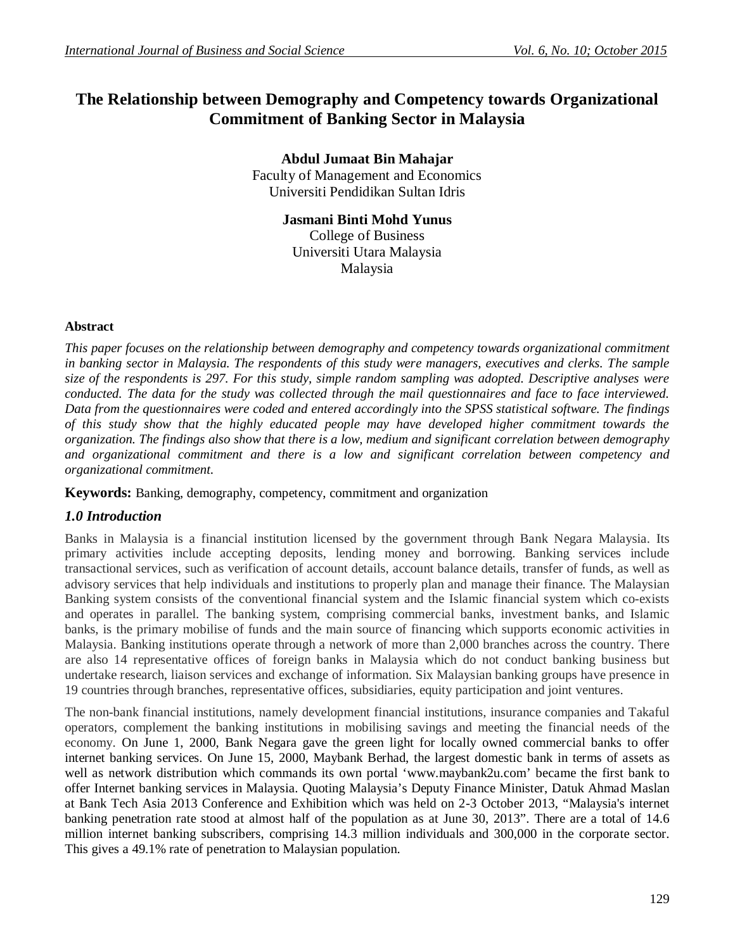# **The Relationship between Demography and Competency towards Organizational Commitment of Banking Sector in Malaysia**

**Abdul Jumaat Bin Mahajar** Faculty of Management and Economics Universiti Pendidikan Sultan Idris

> **Jasmani Binti Mohd Yunus** College of Business Universiti Utara Malaysia Malaysia

### **Abstract**

*This paper focuses on the relationship between demography and competency towards organizational commitment in banking sector in Malaysia. The respondents of this study were managers, executives and clerks. The sample size of the respondents is 297. For this study, simple random sampling was adopted. Descriptive analyses were conducted. The data for the study was collected through the mail questionnaires and face to face interviewed. Data from the questionnaires were coded and entered accordingly into the SPSS statistical software. The findings of this study show that the highly educated people may have developed higher commitment towards the organization. The findings also show that there is a low, medium and significant correlation between demography and organizational commitment and there is a low and significant correlation between competency and organizational commitment.*

**Keywords:** Banking, demography, competency, commitment and organization

## *1.0 Introduction*

Banks in Malaysia is a financial institution licensed by the government through Bank Negara Malaysia. Its primary activities include accepting deposits, lending money and borrowing. Banking services include transactional services, such as verification of account details, account balance details, transfer of funds, as well as advisory services that help individuals and institutions to properly plan and manage their finance. The Malaysian Banking system consists of the conventional financial system and the Islamic financial system which co-exists and operates in parallel. The banking system, comprising commercial banks, investment banks, and Islamic banks, is the primary mobilise of funds and the main source of financing which supports economic activities in Malaysia. Banking institutions operate through a network of more than 2,000 branches across the country. There are also 14 representative offices of foreign banks in Malaysia which do not conduct banking business but undertake research, liaison services and exchange of information. Six Malaysian banking groups have presence in 19 countries through branches, representative offices, subsidiaries, equity participation and joint ventures.

The non-bank financial institutions, namely development financial institutions, insurance companies and Takaful operators, complement the banking institutions in mobilising savings and meeting the financial needs of the economy. On June 1, 2000, Bank Negara gave the green light for locally owned commercial banks to offer internet banking services. On June 15, 2000, Maybank Berhad, the largest domestic bank in terms of assets as well as network distribution which commands its own portal 'www.maybank2u.com' became the first bank to offer Internet banking services in Malaysia. Quoting Malaysia's Deputy Finance Minister, Datuk Ahmad Maslan at Bank Tech Asia 2013 Conference and Exhibition which was held on 2-3 October 2013, "Malaysia's internet banking penetration rate stood at almost half of the population as at June 30, 2013". There are a total of 14.6 million internet banking subscribers, comprising 14.3 million individuals and 300,000 in the corporate sector. This gives a 49.1% rate of penetration to Malaysian population.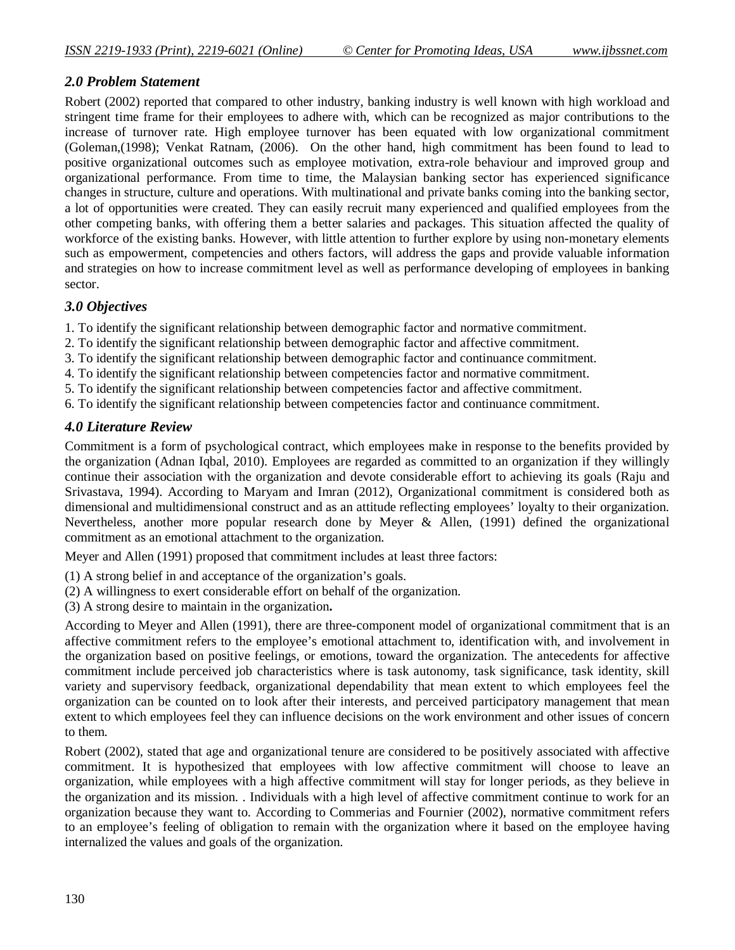## *2.0 Problem Statement*

Robert (2002) reported that compared to other industry, banking industry is well known with high workload and stringent time frame for their employees to adhere with, which can be recognized as major contributions to the increase of turnover rate. High employee turnover has been equated with low organizational commitment (Goleman,(1998); Venkat Ratnam, (2006). On the other hand, high commitment has been found to lead to positive organizational outcomes such as employee motivation, extra-role behaviour and improved group and organizational performance. From time to time, the Malaysian banking sector has experienced significance changes in structure, culture and operations. With multinational and private banks coming into the banking sector, a lot of opportunities were created. They can easily recruit many experienced and qualified employees from the other competing banks, with offering them a better salaries and packages. This situation affected the quality of workforce of the existing banks. However, with little attention to further explore by using non-monetary elements such as empowerment, competencies and others factors, will address the gaps and provide valuable information and strategies on how to increase commitment level as well as performance developing of employees in banking sector.

## *3.0 Objectives*

1. To identify the significant relationship between demographic factor and normative commitment.

- 2. To identify the significant relationship between demographic factor and affective commitment.
- 3. To identify the significant relationship between demographic factor and continuance commitment.
- 4. To identify the significant relationship between competencies factor and normative commitment.
- 5. To identify the significant relationship between competencies factor and affective commitment.
- 6. To identify the significant relationship between competencies factor and continuance commitment.

## *4.0 Literature Review*

Commitment is a form of psychological contract, which employees make in response to the benefits provided by the organization (Adnan Iqbal, 2010). Employees are regarded as committed to an organization if they willingly continue their association with the organization and devote considerable effort to achieving its goals (Raju and Srivastava, 1994). According to Maryam and Imran (2012), Organizational commitment is considered both as dimensional and multidimensional construct and as an attitude reflecting employees' loyalty to their organization. Nevertheless, another more popular research done by Meyer & Allen, (1991) defined the organizational commitment as an emotional attachment to the organization.

Meyer and Allen (1991) proposed that commitment includes at least three factors:

- (1) A strong belief in and acceptance of the organization's goals.
- (2) A willingness to exert considerable effort on behalf of the organization.
- (3) A strong desire to maintain in the organization**.**

According to Meyer and Allen (1991), there are three-component model of organizational commitment that is an affective commitment refers to the employee's emotional attachment to, identification with, and involvement in the organization based on positive feelings, or emotions, toward the organization. The antecedents for affective commitment include perceived job characteristics where is task autonomy, task significance, task identity, skill variety and supervisory feedback, organizational dependability that mean extent to which employees feel the organization can be counted on to look after their interests, and perceived participatory management that mean extent to which employees feel they can influence decisions on the work environment and other issues of concern to them.

Robert (2002), stated that age and organizational tenure are considered to be positively associated with affective commitment. It is hypothesized that employees with low affective commitment will choose to leave an organization, while employees with a high affective commitment will stay for longer periods, as they believe in the organization and its mission. . Individuals with a high level of affective commitment continue to work for an organization because they want to. According to Commerias and Fournier (2002), normative commitment refers to an employee's feeling of obligation to remain with the organization where it based on the employee having internalized the values and goals of the organization.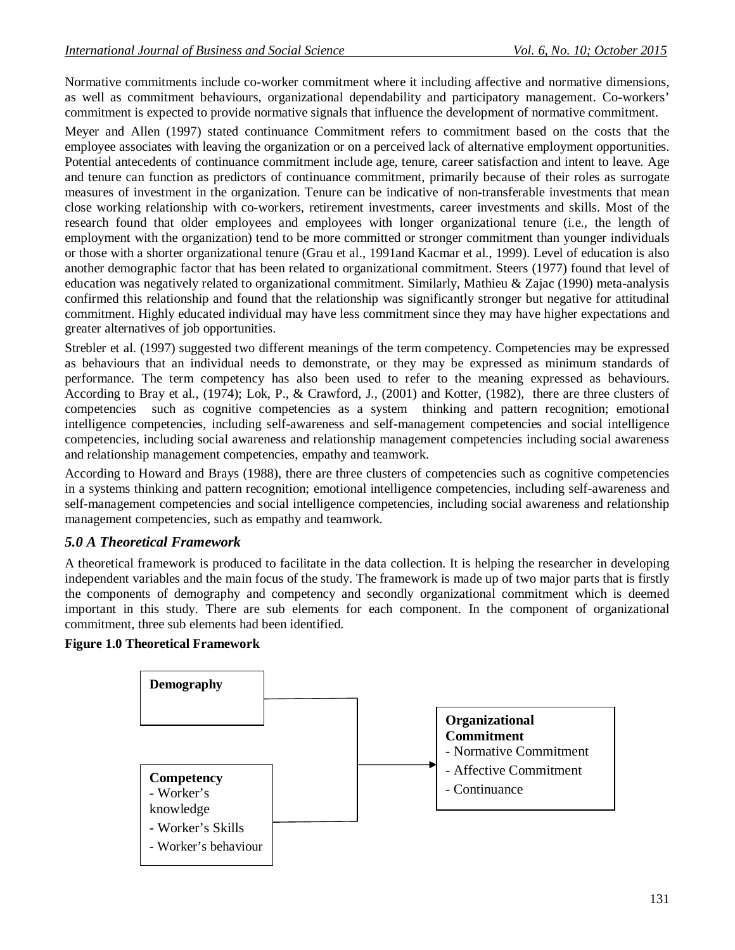Normative commitments include co-worker commitment where it including affective and normative dimensions, as well as commitment behaviours, organizational dependability and participatory management. Co-workers' commitment is expected to provide normative signals that influence the development of normative commitment.

Meyer and Allen (1997) stated continuance Commitment refers to commitment based on the costs that the employee associates with leaving the organization or on a perceived lack of alternative employment opportunities. Potential antecedents of continuance commitment include age, tenure, career satisfaction and intent to leave. Age and tenure can function as predictors of continuance commitment, primarily because of their roles as surrogate measures of investment in the organization. Tenure can be indicative of non-transferable investments that mean close working relationship with co-workers, retirement investments, career investments and skills. Most of the research found that older employees and employees with longer organizational tenure (i.e., the length of employment with the organization) tend to be more committed or stronger commitment than younger individuals or those with a shorter organizational tenure (Grau et al., 1991and Kacmar et al., 1999). Level of education is also another demographic factor that has been related to organizational commitment. Steers (1977) found that level of education was negatively related to organizational commitment. Similarly, Mathieu & Zajac (1990) meta-analysis confirmed this relationship and found that the relationship was significantly stronger but negative for attitudinal commitment. Highly educated individual may have less commitment since they may have higher expectations and greater alternatives of job opportunities.

Strebler et al. (1997) suggested two different meanings of the term competency. Competencies may be expressed as behaviours that an individual needs to demonstrate, or they may be expressed as minimum standards of performance. The term competency has also been used to refer to the meaning expressed as behaviours. According to Bray et al., (1974); Lok, P., & Crawford, J., (2001) and Kotter, (1982), there are three clusters of competencies such as cognitive competencies as a system thinking and pattern recognition; emotional intelligence competencies, including self-awareness and self-management competencies and social intelligence competencies, including social awareness and relationship management competencies including social awareness and relationship management competencies, empathy and teamwork.

According to Howard and Brays (1988), there are three clusters of competencies such as cognitive competencies in a systems thinking and pattern recognition; emotional intelligence competencies, including self-awareness and self-management competencies and social intelligence competencies, including social awareness and relationship management competencies, such as empathy and teamwork.

# *5.0 A Theoretical Framework*

A theoretical framework is produced to facilitate in the data collection. It is helping the researcher in developing independent variables and the main focus of the study. The framework is made up of two major parts that is firstly the components of demography and competency and secondly organizational commitment which is deemed important in this study. There are sub elements for each component. In the component of organizational commitment, three sub elements had been identified.

## **Figure 1.0 Theoretical Framework**

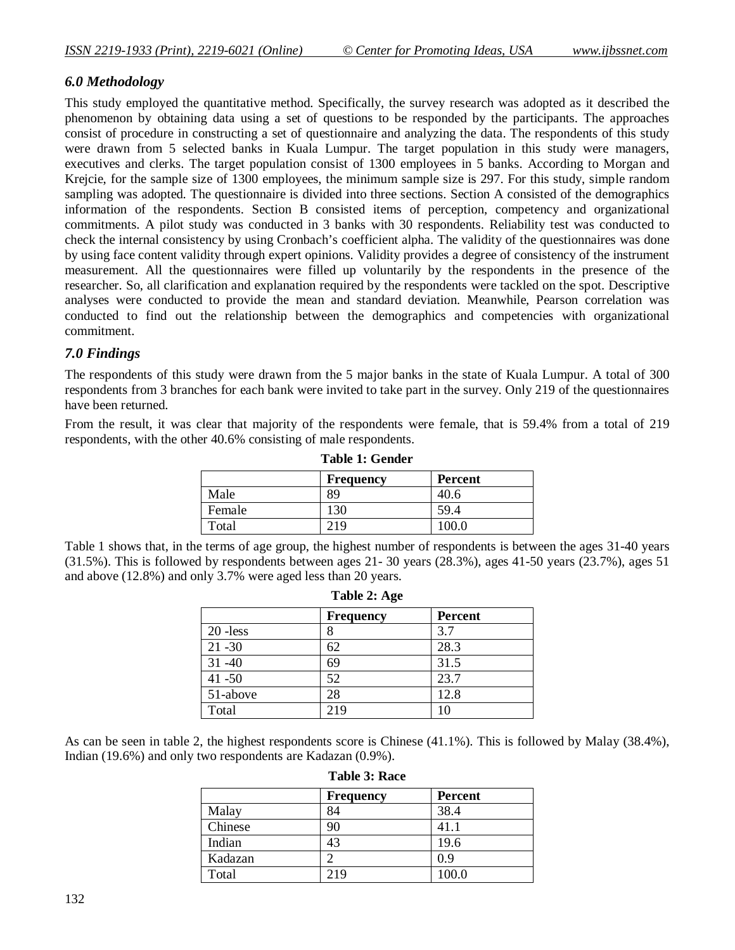## *6.0 Methodology*

This study employed the quantitative method. Specifically, the survey research was adopted as it described the phenomenon by obtaining data using a set of questions to be responded by the participants. The approaches consist of procedure in constructing a set of questionnaire and analyzing the data. The respondents of this study were drawn from 5 selected banks in Kuala Lumpur. The target population in this study were managers, executives and clerks. The target population consist of 1300 employees in 5 banks. According to Morgan and Krejcie, for the sample size of 1300 employees, the minimum sample size is 297. For this study, simple random sampling was adopted. The questionnaire is divided into three sections. Section A consisted of the demographics information of the respondents. Section B consisted items of perception, competency and organizational commitments. A pilot study was conducted in 3 banks with 30 respondents. Reliability test was conducted to check the internal consistency by using Cronbach's coefficient alpha. The validity of the questionnaires was done by using face content validity through expert opinions. Validity provides a degree of consistency of the instrument measurement. All the questionnaires were filled up voluntarily by the respondents in the presence of the researcher. So, all clarification and explanation required by the respondents were tackled on the spot. Descriptive analyses were conducted to provide the mean and standard deviation. Meanwhile, Pearson correlation was conducted to find out the relationship between the demographics and competencies with organizational commitment.

## *7.0 Findings*

The respondents of this study were drawn from the 5 major banks in the state of Kuala Lumpur. A total of 300 respondents from 3 branches for each bank were invited to take part in the survey. Only 219 of the questionnaires have been returned.

From the result, it was clear that majority of the respondents were female, that is 59.4% from a total of 219 respondents, with the other 40.6% consisting of male respondents.

| Table 1. Gehuel |                  |                |
|-----------------|------------------|----------------|
|                 | <b>Frequency</b> | <b>Percent</b> |
| Male            | 89               | 40.6           |
| Female          | 130              | 59.4           |
| Total           | 219              | 100.0          |

**Table 1: Gender**

Table 1 shows that, in the terms of age group, the highest number of respondents is between the ages 31-40 years (31.5%). This is followed by respondents between ages 21- 30 years (28.3%), ages 41-50 years (23.7%), ages 51 and above (12.8%) and only 3.7% were aged less than 20 years.

| <b>LAUIC</b> 4. Age |                  |                |
|---------------------|------------------|----------------|
|                     | <b>Frequency</b> | <b>Percent</b> |
| $20$ -less          |                  | 3.7            |
| $21 - 30$           | 62               | 28.3           |
| $31 - 40$           | 69               | 31.5           |
| $41 - 50$           | 52               | 23.7           |
| 51-above            | 28               | 12.8           |
| Total               | 219              | 10             |

**Table 2: Age**

As can be seen in table 2, the highest respondents score is Chinese (41.1%). This is followed by Malay (38.4%), Indian (19.6%) and only two respondents are Kadazan (0.9%).

| TAVIV VI INAVV |                  |                |
|----------------|------------------|----------------|
|                | <b>Frequency</b> | <b>Percent</b> |
| Malay          | 84               | 38.4           |
| Chinese        | 90               | 41.1           |
| Indian         | 43               | 19.6           |
| Kadazan        |                  | 0.9            |
| Total          | 219              | 100.0          |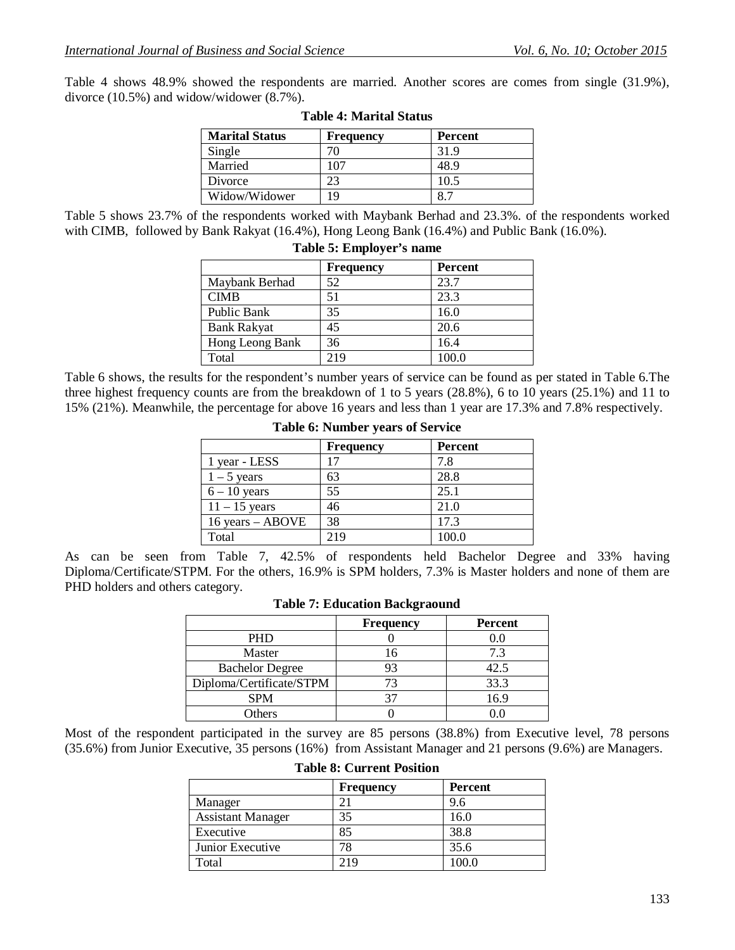Table 4 shows 48.9% showed the respondents are married. Another scores are comes from single (31.9%), divorce (10.5%) and widow/widower (8.7%).

| <b>Marital Status</b> | <b>Frequency</b> | <b>Percent</b> |
|-----------------------|------------------|----------------|
| Single                | 70               | 31.9           |
| Married               | 107              | 48.9           |
| Divorce               | 23               | 10.5           |
| Widow/Widower         | 19               | $\Omega$ 7     |

#### **Table 4: Marital Status**

Table 5 shows 23.7% of the respondents worked with Maybank Berhad and 23.3%. of the respondents worked with CIMB, followed by Bank Rakyat (16.4%), Hong Leong Bank (16.4%) and Public Bank (16.0%).

|                    | <b>Frequency</b> | <b>Percent</b> |
|--------------------|------------------|----------------|
| Maybank Berhad     | 52               | 23.7           |
| <b>CIMB</b>        | 51               | 23.3           |
| Public Bank        | 35               | 16.0           |
| <b>Bank Rakyat</b> | 45               | 20.6           |
| Hong Leong Bank    | 36               | 16.4           |
| Total              | 219              | 100.0          |

#### **Table 5: Employer's name**

Table 6 shows, the results for the respondent's number years of service can be found as per stated in Table 6.The three highest frequency counts are from the breakdown of 1 to 5 years (28.8%), 6 to 10 years (25.1%) and 11 to 15% (21%). Meanwhile, the percentage for above 16 years and less than 1 year are 17.3% and 7.8% respectively.

|                  | <b>Frequency</b> | Percent |
|------------------|------------------|---------|
| 1 year - LESS    | 17               | 7.8     |
| $1 - 5$ years    | 63               | 28.8    |
| $6 - 10$ years   | 55               | 25.1    |
| $11 - 15$ years  | 46               | 21.0    |
| 16 years - ABOVE | 38               | 17.3    |
| Total            | 219              | 100.0   |

#### **Table 6: Number years of Service**

As can be seen from Table 7, 42.5% of respondents held Bachelor Degree and 33% having Diploma/Certificate/STPM. For the others, 16.9% is SPM holders, 7.3% is Master holders and none of them are PHD holders and others category.

|                          | <b>Frequency</b> | <b>Percent</b> |
|--------------------------|------------------|----------------|
| <b>PHD</b>               |                  | $0.0\,$        |
| Master                   | 16               | 7.3            |
| <b>Bachelor Degree</b>   | 93               | 42.5           |
| Diploma/Certificate/STPM | 73               | 33.3           |
| <b>SPM</b>               |                  | 16.9           |
| <b>Others</b>            |                  |                |

#### **Table 7: Education Backgraound**

Most of the respondent participated in the survey are 85 persons (38.8%) from Executive level, 78 persons (35.6%) from Junior Executive, 35 persons (16%) from Assistant Manager and 21 persons (9.6%) are Managers.

|                          | <b>Frequency</b> | <b>Percent</b> |
|--------------------------|------------------|----------------|
| Manager                  |                  | 9.6            |
| <b>Assistant Manager</b> | 35               | 16.0           |
| Executive                | 85               | 38.8           |
| Junior Executive         | 78               | 35.6           |
| Total                    | 219              | 100.0          |

### **Table 8: Current Position**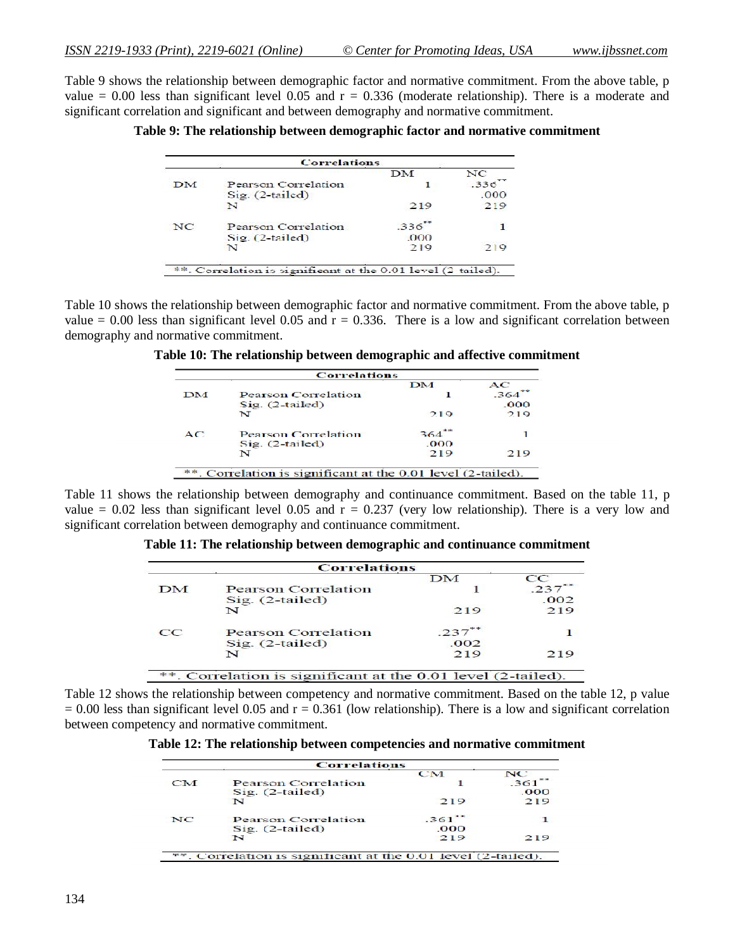Table 9 shows the relationship between demographic factor and normative commitment. From the above table, p value  $= 0.00$  less than significant level 0.05 and  $r = 0.336$  (moderate relationship). There is a moderate and significant correlation and significant and between demography and normative commitment.

**Table 9: The relationship between demographic factor and normative commitment**

|    | <b>Correlations</b>                                          |      |      |
|----|--------------------------------------------------------------|------|------|
|    |                                                              | DM   | NC   |
| DM | Pearson Correlation                                          |      | .336 |
|    | $Sig. (2-tailed)$                                            |      | .000 |
|    | N                                                            | 219  | 219  |
| NC | Pearson Correlation                                          | .336 |      |
|    | $Sig. (2-tailed)$                                            | 000  |      |
|    | N                                                            | 219  | 219  |
|    | **. Correlation is significant at the 0.01 level (2-tailed). |      |      |

Table 10 shows the relationship between demographic factor and normative commitment. From the above table, p value  $= 0.00$  less than significant level 0.05 and  $r = 0.336$ . There is a low and significant correlation between demography and normative commitment.

**Table 10: The relationship between demographic and affective commitment**

|    |                                                              | DM   | AC   |
|----|--------------------------------------------------------------|------|------|
| DM | <b>Pearson Correlation</b>                                   |      | 364  |
|    | $Sig. (2-tailed)$                                            |      | .000 |
|    | $\mathbf{v}$                                                 | 219  | 219  |
| AC | Pearson Correlation                                          | 364  |      |
|    | $Sig. (2-tailed)$                                            | .000 |      |
|    | N                                                            | 219  | 219  |
|    | **. Correlation is significant at the 0.01 level (2-tailed). |      |      |

Table 11 shows the relationship between demography and continuance commitment. Based on the table 11, p value = 0.02 less than significant level 0.05 and  $r = 0.237$  (very low relationship). There is a very low and significant correlation between demography and continuance commitment.

**Table 11: The relationship between demographic and continuance commitment**

|    |                            | DM   | cc   |
|----|----------------------------|------|------|
| DM | <b>Pearson Correlation</b> |      |      |
|    | $Sig. (2-tailed)$          |      | .002 |
|    | N                          | 219  | 219  |
| cc | Pearson Correlation        | 237  |      |
|    | $Sig.$ $(2-tailed)$        | .002 |      |
|    | N                          | 219  | 219  |

Table 12 shows the relationship between competency and normative commitment. Based on the table 12, p value  $= 0.00$  less than significant level 0.05 and  $r = 0.361$  (low relationship). There is a low and significant correlation between competency and normative commitment.

**Table 12: The relationship between competencies and normative commitment**

|    | <b>Correlations</b>                                          |           |      |
|----|--------------------------------------------------------------|-----------|------|
|    |                                                              | <b>CM</b> | NC.  |
| CM | Pearson Correlation                                          |           | 361  |
|    | $Sig.$ $(2-tailed)$                                          |           | .000 |
|    | N                                                            | 219       | 219  |
| NC | Pearson Correlation                                          | $.361$ ** |      |
|    | $Sig.$ $(2-tailed)$                                          | .000      |      |
|    | N                                                            | 219       | 219  |
|    | **. Correlation is significant at the 0.01 level (2-tailed). |           |      |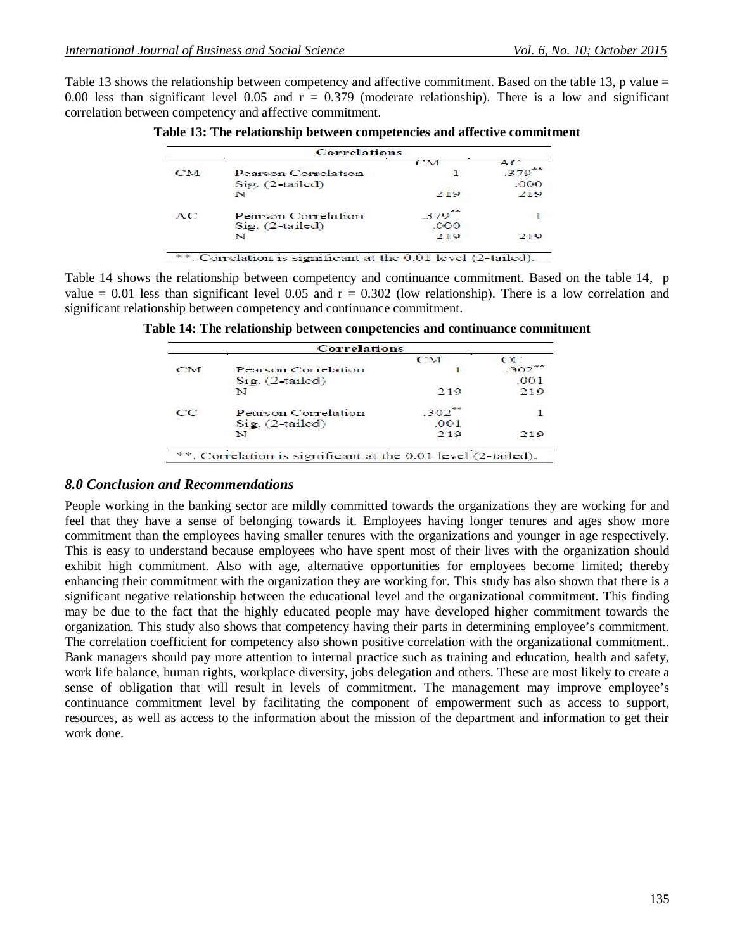Table 13 shows the relationship between competency and affective commitment. Based on the table 13, p value = 0.00 less than significant level 0.05 and  $r = 0.379$  (moderate relationship). There is a low and significant correlation between competency and affective commitment.

| <b>CM</b> |                     | CM   | AC   |
|-----------|---------------------|------|------|
|           |                     |      |      |
|           | Pearson Correlation |      | .379 |
|           | $Sig. (2-tailed)$   |      | .000 |
|           | N                   | 219  | 219  |
| AC        | Pearson Correlation | .379 |      |
|           | $Sig. (2-tailed)$   | .000 |      |
|           | N                   | 219  | 219  |

Table 14 shows the relationship between competency and continuance commitment. Based on the table 14, p value = 0.01 less than significant level 0.05 and  $r = 0.302$  (low relationship). There is a low correlation and significant relationship between competency and continuance commitment.

| Table 14: The relationship between competencies and continuance commitment |  |
|----------------------------------------------------------------------------|--|
|----------------------------------------------------------------------------|--|

| <b>Correlations</b> |                                                            |                     |      |  |
|---------------------|------------------------------------------------------------|---------------------|------|--|
|                     |                                                            | CM                  | cc   |  |
| CM                  | Pearson Correlation                                        |                     | 302  |  |
|                     | $\text{Si}\,\alpha$ . (2-tailed)                           |                     | .001 |  |
|                     | N                                                          | 219                 | 219  |  |
| CC                  | Pearson Correlation                                        | $.302$ <sup>-</sup> |      |  |
|                     | $Si2$ . (2-tailed)                                         | .001                |      |  |
|                     | N                                                          | 219                 | 219  |  |
| afe afe             | . Correlation is significant at the 0.01 level (2-tailed). |                     |      |  |

#### *8.0 Conclusion and Recommendations*

People working in the banking sector are mildly committed towards the organizations they are working for and feel that they have a sense of belonging towards it. Employees having longer tenures and ages show more commitment than the employees having smaller tenures with the organizations and younger in age respectively. This is easy to understand because employees who have spent most of their lives with the organization should exhibit high commitment. Also with age, alternative opportunities for employees become limited; thereby enhancing their commitment with the organization they are working for. This study has also shown that there is a significant negative relationship between the educational level and the organizational commitment. This finding may be due to the fact that the highly educated people may have developed higher commitment towards the organization. This study also shows that competency having their parts in determining employee's commitment. The correlation coefficient for competency also shown positive correlation with the organizational commitment.. Bank managers should pay more attention to internal practice such as training and education, health and safety, work life balance, human rights, workplace diversity, jobs delegation and others. These are most likely to create a sense of obligation that will result in levels of commitment. The management may improve employee's continuance commitment level by facilitating the component of empowerment such as access to support, resources, as well as access to the information about the mission of the department and information to get their work done.